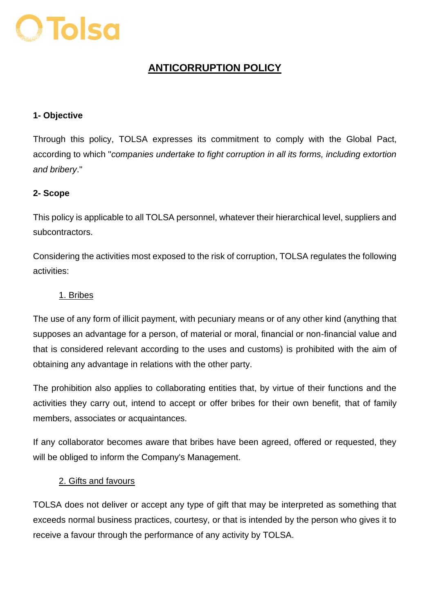

# **ANTICORRUPTION POLICY**

#### **1- Objective**

Through this policy, TOLSA expresses its commitment to comply with the Global Pact, according to which "*companies undertake to fight corruption in all its forms, including extortion and bribery*."

#### **2- Scope**

This policy is applicable to all TOLSA personnel, whatever their hierarchical level, suppliers and subcontractors.

Considering the activities most exposed to the risk of corruption, TOLSA regulates the following activities:

#### 1. Bribes

The use of any form of illicit payment, with pecuniary means or of any other kind (anything that supposes an advantage for a person, of material or moral, financial or non-financial value and that is considered relevant according to the uses and customs) is prohibited with the aim of obtaining any advantage in relations with the other party.

The prohibition also applies to collaborating entities that, by virtue of their functions and the activities they carry out, intend to accept or offer bribes for their own benefit, that of family members, associates or acquaintances.

If any collaborator becomes aware that bribes have been agreed, offered or requested, they will be obliged to inform the Company's Management.

#### 2. Gifts and favours

TOLSA does not deliver or accept any type of gift that may be interpreted as something that exceeds normal business practices, courtesy, or that is intended by the person who gives it to receive a favour through the performance of any activity by TOLSA.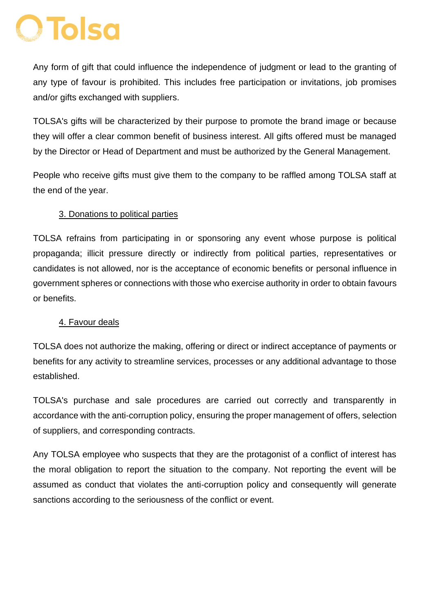# **O Tolsa**

Any form of gift that could influence the independence of judgment or lead to the granting of any type of favour is prohibited. This includes free participation or invitations, job promises and/or gifts exchanged with suppliers.

TOLSA's gifts will be characterized by their purpose to promote the brand image or because they will offer a clear common benefit of business interest. All gifts offered must be managed by the Director or Head of Department and must be authorized by the General Management.

People who receive gifts must give them to the company to be raffled among TOLSA staff at the end of the year.

### 3. Donations to political parties

TOLSA refrains from participating in or sponsoring any event whose purpose is political propaganda; illicit pressure directly or indirectly from political parties, representatives or candidates is not allowed, nor is the acceptance of economic benefits or personal influence in government spheres or connections with those who exercise authority in order to obtain favours or benefits.

## 4. Favour deals

TOLSA does not authorize the making, offering or direct or indirect acceptance of payments or benefits for any activity to streamline services, processes or any additional advantage to those established.

TOLSA's purchase and sale procedures are carried out correctly and transparently in accordance with the anti-corruption policy, ensuring the proper management of offers, selection of suppliers, and corresponding contracts.

Any TOLSA employee who suspects that they are the protagonist of a conflict of interest has the moral obligation to report the situation to the company. Not reporting the event will be assumed as conduct that violates the anti-corruption policy and consequently will generate sanctions according to the seriousness of the conflict or event.